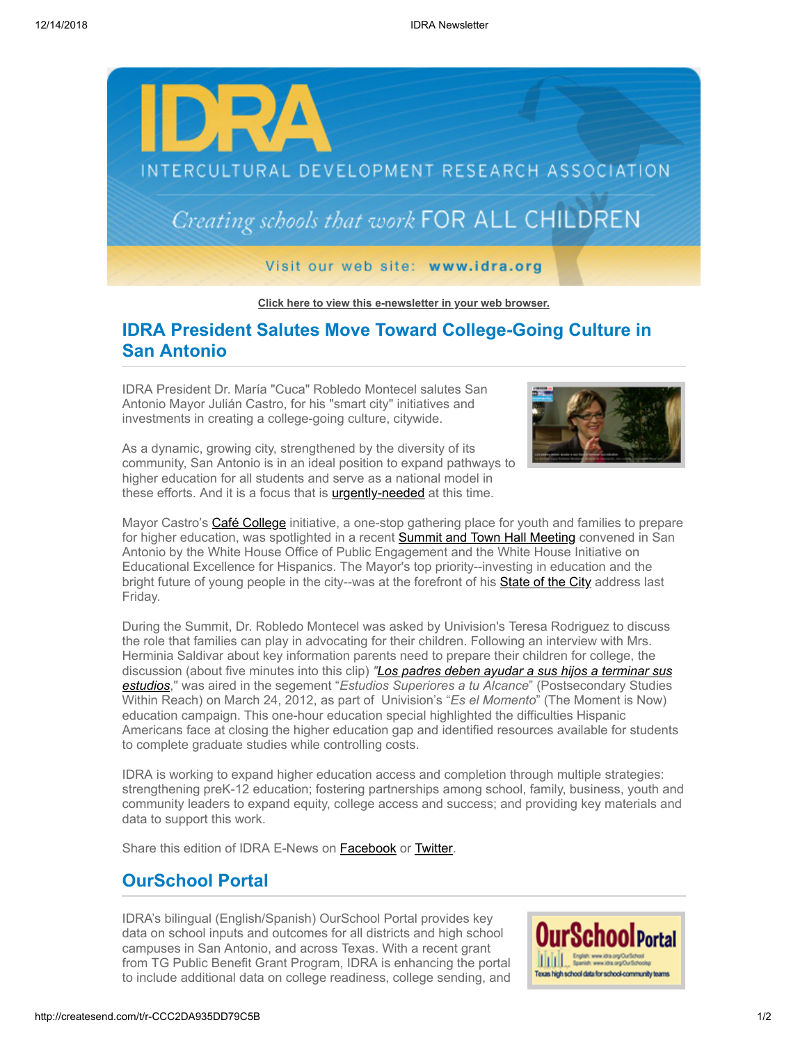

**[Click here to view this e-newsletter in your web browser.](http://newsletter.impulsedevelopment.com/t/r/e/dittkut/l/)**

## **IDRA President Salutes Move Toward College-Going Culture in San Antonio**

IDRA President Dr. María "Cuca" Robledo Montecel salutes San Antonio Mayor Julián Castro, for his "smart city" initiatives and investments in creating a college-going culture, citywide.



As a dynamic, growing city, strengthened by the diversity of its community, San Antonio is in an ideal position to expand pathways to higher education for all students and serve as a national model in these efforts. And it is a focus that is **[urgently-needed](http://newsletter.impulsedevelopment.com/t/r/l/dittkut/l/y/)** at this time.

Mayor Castro's [Café College](http://newsletter.impulsedevelopment.com/t/r/l/dittkut/l/j/) initiative, a one-stop gathering place for youth and families to prepare for higher education, was spotlighted in a recent **[Summit and Town Hall Meeting](http://newsletter.impulsedevelopment.com/t/r/l/dittkut/l/h/)** convened in San Antonio by the White House Office of Public Engagement and the White House Initiative on Educational Excellence for Hispanics. The Mayor's top priority--investing in education and the bright future of young people in the city--was at the forefront of his [State of the City](http://newsletter.impulsedevelopment.com/t/r/l/dittkut/l/k/) address last Friday.

During the Summit, Dr. Robledo Montecel was asked by Univision's Teresa Rodriguez to discuss the role that families can play in advocating for their children. Following an interview with Mrs. Herminia Saldivar about key information parents need to prepare their children for college, the discussion (about five minutes into this clip) *["Los padres deben ayudar a sus hijos a terminar sus](http://newsletter.impulsedevelopment.com/t/r/l/dittkut/l/u/) estudios*," was aired in the segement "*Estudios Superiores a tu Alcance*" (Postsecondary Studies Within Reach) on March 24, 2012, as part of Univision's "*Es el Momento*" (The Moment is Now) education campaign. This one-hour education special highlighted the difficulties Hispanic Americans face at closing the higher education gap and identified resources available for students to complete graduate studies while controlling costs.

IDRA is working to expand higher education access and completion through multiple strategies: strengthening preK-12 education; fostering partnerships among school, family, business, youth and community leaders to expand equity, college access and success; and providing key materials and data to support this work.

Share this edition of IDRA E-News on **[Facebook](http://createsend.com/t/r/fb/dittkut/l/q/?act=wv)** or **Twitter**.

## **OurSchool Portal**

IDRA's bilingual (English/Spanish) OurSchool Portal provides key data on school inputs and outcomes for all districts and high school campuses in San Antonio, and across Texas. With a recent grant from TG Public Benefit Grant Program, IDRA is enhancing the portal to include additional data on college readiness, college sending, and